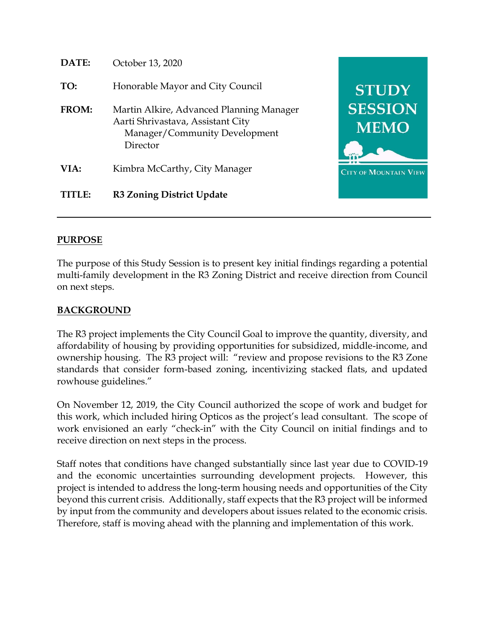

## **PURPOSE**

The purpose of this Study Session is to present key initial findings regarding a potential multi-family development in the R3 Zoning District and receive direction from Council on next steps.

## **BACKGROUND**

The R3 project implements the City Council Goal to improve the quantity, diversity, and affordability of housing by providing opportunities for subsidized, middle-income, and ownership housing. The R3 project will: "review and propose revisions to the R3 Zone standards that consider form-based zoning, incentivizing stacked flats, and updated rowhouse guidelines."

On November 12, 2019, the City Council authorized the scope of work and budget for this work, which included hiring Opticos as the project's lead consultant. The scope of work envisioned an early "check-in" with the City Council on initial findings and to receive direction on next steps in the process.

Staff notes that conditions have changed substantially since last year due to COVID-19 and the economic uncertainties surrounding development projects. However, this project is intended to address the long-term housing needs and opportunities of the City beyond this current crisis. Additionally, staff expects that the R3 project will be informed by input from the community and developers about issues related to the economic crisis. Therefore, staff is moving ahead with the planning and implementation of this work.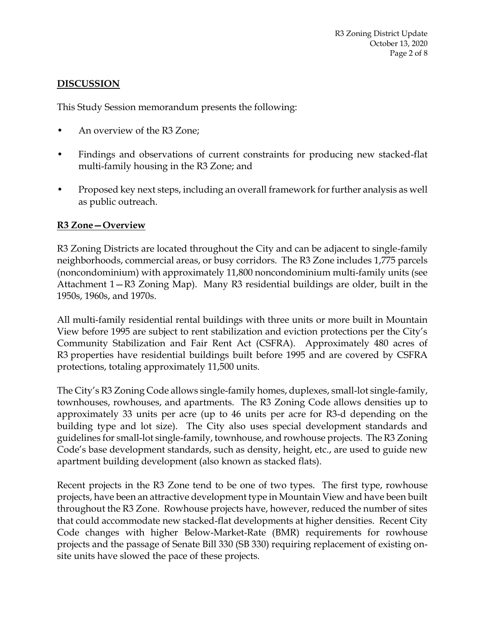# **DISCUSSION**

This Study Session memorandum presents the following:

- An overview of the R3 Zone;
- Findings and observations of current constraints for producing new stacked-flat multi-family housing in the R3 Zone; and
- Proposed key next steps, including an overall framework for further analysis as well as public outreach.

# **R3 Zone—Overview**

R3 Zoning Districts are located throughout the City and can be adjacent to single-family neighborhoods, commercial areas, or busy corridors. The R3 Zone includes 1,775 parcels (noncondominium) with approximately 11,800 noncondominium multi-family units (see Attachment 1—R3 Zoning Map). Many R3 residential buildings are older, built in the 1950s, 1960s, and 1970s.

All multi-family residential rental buildings with three units or more built in Mountain View before 1995 are subject to rent stabilization and eviction protections per the City's Community Stabilization and Fair Rent Act (CSFRA). Approximately 480 acres of R3 properties have residential buildings built before 1995 and are covered by CSFRA protections, totaling approximately 11,500 units.

The City's R3 Zoning Code allows single-family homes, duplexes, small-lot single-family, townhouses, rowhouses, and apartments. The R3 Zoning Code allows densities up to approximately 33 units per acre (up to 46 units per acre for R3-d depending on the building type and lot size). The City also uses special development standards and guidelines for small-lot single-family, townhouse, and rowhouse projects. The R3 Zoning Code's base development standards, such as density, height, etc., are used to guide new apartment building development (also known as stacked flats).

Recent projects in the R3 Zone tend to be one of two types. The first type, rowhouse projects, have been an attractive development type in Mountain View and have been built throughout the R3 Zone. Rowhouse projects have, however, reduced the number of sites that could accommodate new stacked-flat developments at higher densities. Recent City Code changes with higher Below-Market-Rate (BMR) requirements for rowhouse projects and the passage of Senate Bill 330 (SB 330) requiring replacement of existing onsite units have slowed the pace of these projects.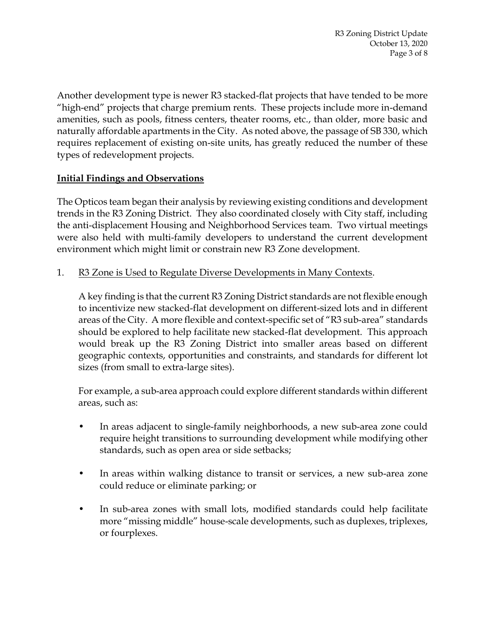Another development type is newer R3 stacked-flat projects that have tended to be more "high-end" projects that charge premium rents. These projects include more in-demand amenities, such as pools, fitness centers, theater rooms, etc., than older, more basic and naturally affordable apartments in the City. As noted above, the passage of SB 330, which requires replacement of existing on-site units, has greatly reduced the number of these types of redevelopment projects.

## **Initial Findings and Observations**

The Opticos team began their analysis by reviewing existing conditions and development trends in the R3 Zoning District. They also coordinated closely with City staff, including the anti-displacement Housing and Neighborhood Services team. Two virtual meetings were also held with multi-family developers to understand the current development environment which might limit or constrain new R3 Zone development.

1. R3 Zone is Used to Regulate Diverse Developments in Many Contexts.

A key finding is that the current R3 Zoning District standards are not flexible enough to incentivize new stacked-flat development on different-sized lots and in different areas of the City. A more flexible and context-specific set of "R3 sub-area" standards should be explored to help facilitate new stacked-flat development. This approach would break up the R3 Zoning District into smaller areas based on different geographic contexts, opportunities and constraints, and standards for different lot sizes (from small to extra-large sites).

For example, a sub-area approach could explore different standards within different areas, such as:

- In areas adjacent to single-family neighborhoods, a new sub-area zone could require height transitions to surrounding development while modifying other standards, such as open area or side setbacks;
- In areas within walking distance to transit or services, a new sub-area zone could reduce or eliminate parking; or
- In sub-area zones with small lots, modified standards could help facilitate more "missing middle" house-scale developments, such as duplexes, triplexes, or fourplexes.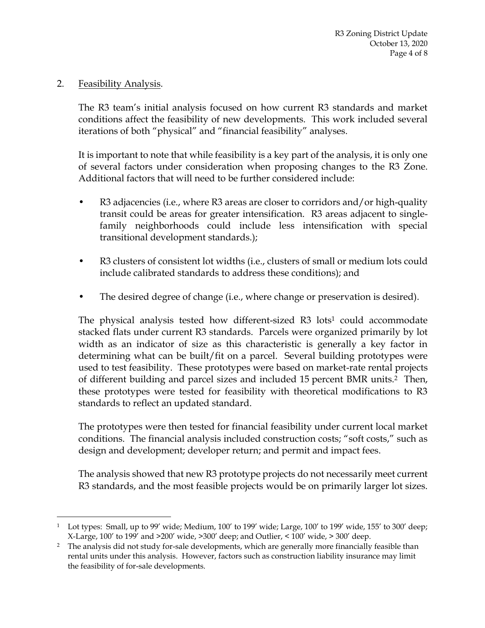#### 2. Feasibility Analysis.

 $\overline{a}$ 

The R3 team's initial analysis focused on how current R3 standards and market conditions affect the feasibility of new developments. This work included several iterations of both "physical" and "financial feasibility" analyses.

It is important to note that while feasibility is a key part of the analysis, it is only one of several factors under consideration when proposing changes to the R3 Zone. Additional factors that will need to be further considered include:

- R3 adjacencies (i.e., where R3 areas are closer to corridors and/or high-quality transit could be areas for greater intensification. R3 areas adjacent to singlefamily neighborhoods could include less intensification with special transitional development standards.);
- R3 clusters of consistent lot widths (i.e., clusters of small or medium lots could include calibrated standards to address these conditions); and
- The desired degree of change (i.e., where change or preservation is desired).

The physical analysis tested how different-sized  $R3$  lots<sup>1</sup> could accommodate stacked flats under current R3 standards. Parcels were organized primarily by lot width as an indicator of size as this characteristic is generally a key factor in determining what can be built/fit on a parcel. Several building prototypes were used to test feasibility. These prototypes were based on market-rate rental projects of different building and parcel sizes and included 15 percent BMR units.2 Then, these prototypes were tested for feasibility with theoretical modifications to R3 standards to reflect an updated standard.

The prototypes were then tested for financial feasibility under current local market conditions. The financial analysis included construction costs; "soft costs," such as design and development; developer return; and permit and impact fees.

The analysis showed that new R3 prototype projects do not necessarily meet current R3 standards, and the most feasible projects would be on primarily larger lot sizes.

<sup>1</sup> Lot types: Small, up to 99' wide; Medium, 100' to 199' wide; Large, 100' to 199' wide, 155' to 300' deep; X-Large, 100' to 199' and >200' wide, >300' deep; and Outlier, < 100' wide, > 300' deep.

<sup>&</sup>lt;sup>2</sup> The analysis did not study for-sale developments, which are generally more financially feasible than rental units under this analysis. However, factors such as construction liability insurance may limit the feasibility of for-sale developments.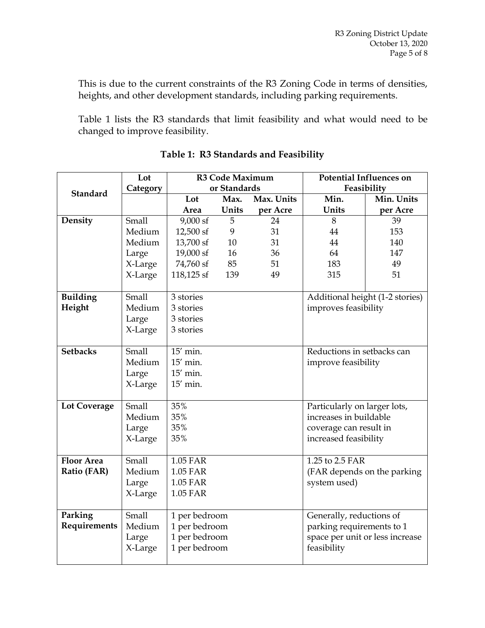This is due to the current constraints of the R3 Zoning Code in terms of densities, heights, and other development standards, including parking requirements.

Table 1 lists the R3 standards that limit feasibility and what would need to be changed to improve feasibility.

|                     | Lot      | <b>R3 Code Maximum</b>        |       |            | <b>Potential Influences on</b>  |                                 |  |
|---------------------|----------|-------------------------------|-------|------------|---------------------------------|---------------------------------|--|
| <b>Standard</b>     | Category | or Standards                  |       |            | Feasibility                     |                                 |  |
|                     |          | Lot                           | Max.  | Max. Units | Min.                            | Min. Units                      |  |
|                     |          | Area                          | Units | per Acre   | Units                           | per Acre                        |  |
| Density             | Small    | $9,000$ sf                    | 5     | 24         | 8                               | 39                              |  |
|                     | Medium   | 12,500 sf                     | 9     | 31         | 44                              | 153                             |  |
|                     | Medium   | 13,700 sf                     | 10    | 31         | 44                              | 140                             |  |
|                     | Large    | 19,000 sf                     | 16    | 36         | 64                              | 147                             |  |
|                     | X-Large  | 74,760 sf                     | 85    | 51         | 183                             | 49                              |  |
|                     | X-Large  | 118,125 sf                    | 139   | 49         | 315                             | 51                              |  |
|                     |          |                               |       |            |                                 |                                 |  |
| <b>Building</b>     | Small    | 3 stories                     |       |            |                                 | Additional height (1-2 stories) |  |
| Height              | Medium   | 3 stories                     |       |            | improves feasibility            |                                 |  |
|                     | Large    | 3 stories                     |       |            |                                 |                                 |  |
|                     | X-Large  | 3 stories                     |       |            |                                 |                                 |  |
|                     |          |                               |       |            |                                 |                                 |  |
| <b>Setbacks</b>     | Small    | $\overline{15}'$ min.         |       |            | Reductions in setbacks can      |                                 |  |
|                     | Medium   | $15'$ min.                    |       |            | improve feasibility             |                                 |  |
|                     | Large    | 15' min.                      |       |            |                                 |                                 |  |
|                     | X-Large  | 15' min.                      |       |            |                                 |                                 |  |
|                     |          |                               |       |            |                                 |                                 |  |
| <b>Lot Coverage</b> | Small    | 35%                           |       |            | Particularly on larger lots,    |                                 |  |
|                     | Medium   | 35%                           |       |            | increases in buildable          |                                 |  |
|                     | Large    | 35%<br>coverage can result in |       |            |                                 |                                 |  |
|                     | X-Large  | 35%<br>increased feasibility  |       |            |                                 |                                 |  |
|                     |          |                               |       |            |                                 |                                 |  |
| <b>Floor Area</b>   | Small    | 1.05 FAR                      |       |            | 1.25 to 2.5 FAR                 |                                 |  |
| Ratio (FAR)         | Medium   | 1.05 FAR                      |       |            | (FAR depends on the parking     |                                 |  |
|                     | Large    | 1.05 FAR                      |       |            | system used)                    |                                 |  |
|                     | X-Large  | 1.05 FAR                      |       |            |                                 |                                 |  |
|                     |          |                               |       |            |                                 |                                 |  |
| Parking             | Small    | 1 per bedroom                 |       |            | Generally, reductions of        |                                 |  |
| Requirements        | Medium   | 1 per bedroom                 |       |            | parking requirements to 1       |                                 |  |
|                     | Large    | 1 per bedroom                 |       |            | space per unit or less increase |                                 |  |
|                     | X-Large  | 1 per bedroom                 |       |            | feasibility                     |                                 |  |
|                     |          |                               |       |            |                                 |                                 |  |

## **Table 1: R3 Standards and Feasibility**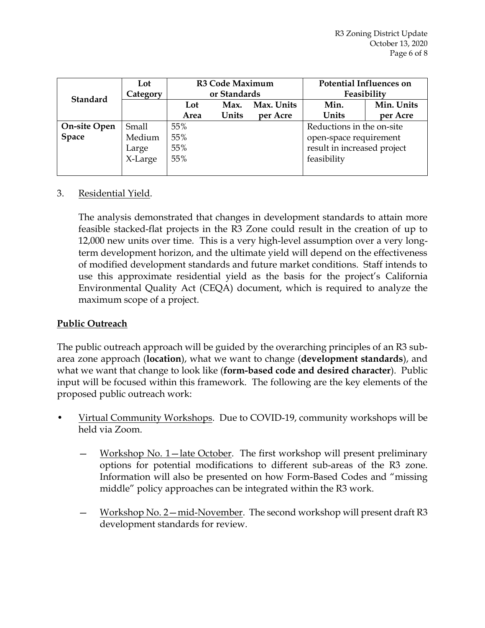| <b>Standard</b>     | Lot      | <b>R3 Code Maximum</b> |       |            | <b>Potential Influences on</b> |            |  |
|---------------------|----------|------------------------|-------|------------|--------------------------------|------------|--|
|                     | Category | or Standards           |       |            | Feasibility                    |            |  |
|                     |          | Lot                    | Max.  | Max. Units | Min.                           | Min. Units |  |
|                     |          | Area                   | Units | per Acre   | Units                          | per Acre   |  |
| <b>On-site Open</b> | Small    | 55%                    |       |            | Reductions in the on-site      |            |  |
| <b>Space</b>        | Medium   | 55%                    |       |            | open-space requirement         |            |  |
|                     | Large    | 55%                    |       |            | result in increased project    |            |  |
|                     | X-Large  | 55%                    |       |            | feasibility                    |            |  |
|                     |          |                        |       |            |                                |            |  |

## 3. Residential Yield.

The analysis demonstrated that changes in development standards to attain more feasible stacked-flat projects in the R3 Zone could result in the creation of up to 12,000 new units over time. This is a very high-level assumption over a very longterm development horizon, and the ultimate yield will depend on the effectiveness of modified development standards and future market conditions. Staff intends to use this approximate residential yield as the basis for the project's California Environmental Quality Act (CEQA) document, which is required to analyze the maximum scope of a project.

## **Public Outreach**

The public outreach approach will be guided by the overarching principles of an R3 subarea zone approach (**location**), what we want to change (**development standards**), and what we want that change to look like (**form-based code and desired character**). Public input will be focused within this framework. The following are the key elements of the proposed public outreach work:

- Virtual Community Workshops. Due to COVID-19, community workshops will be held via Zoom.
	- Workshop No. 1—late October. The first workshop will present preliminary options for potential modifications to different sub-areas of the R3 zone. Information will also be presented on how Form-Based Codes and "missing middle" policy approaches can be integrated within the R3 work.
	- Workshop No. 2—mid-November. The second workshop will present draft R3 development standards for review.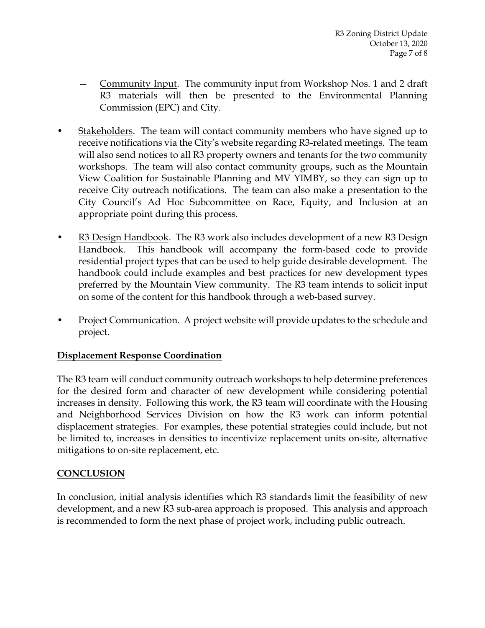- Community Input. The community input from Workshop Nos. 1 and 2 draft R3 materials will then be presented to the Environmental Planning Commission (EPC) and City.
- Stakeholders. The team will contact community members who have signed up to receive notifications via the City's website regarding R3-related meetings. The team will also send notices to all R3 property owners and tenants for the two community workshops. The team will also contact community groups, such as the Mountain View Coalition for Sustainable Planning and MV YIMBY, so they can sign up to receive City outreach notifications. The team can also make a presentation to the City Council's Ad Hoc Subcommittee on Race, Equity, and Inclusion at an appropriate point during this process.
- R3 Design Handbook. The R3 work also includes development of a new R3 Design Handbook. This handbook will accompany the form-based code to provide residential project types that can be used to help guide desirable development. The handbook could include examples and best practices for new development types preferred by the Mountain View community. The R3 team intends to solicit input on some of the content for this handbook through a web-based survey.
- Project Communication. A project website will provide updates to the schedule and project.

## **Displacement Response Coordination**

The R3 team will conduct community outreach workshops to help determine preferences for the desired form and character of new development while considering potential increases in density. Following this work, the R3 team will coordinate with the Housing and Neighborhood Services Division on how the R3 work can inform potential displacement strategies. For examples, these potential strategies could include, but not be limited to, increases in densities to incentivize replacement units on-site, alternative mitigations to on-site replacement, etc.

# **CONCLUSION**

In conclusion, initial analysis identifies which R3 standards limit the feasibility of new development, and a new R3 sub-area approach is proposed. This analysis and approach is recommended to form the next phase of project work, including public outreach.